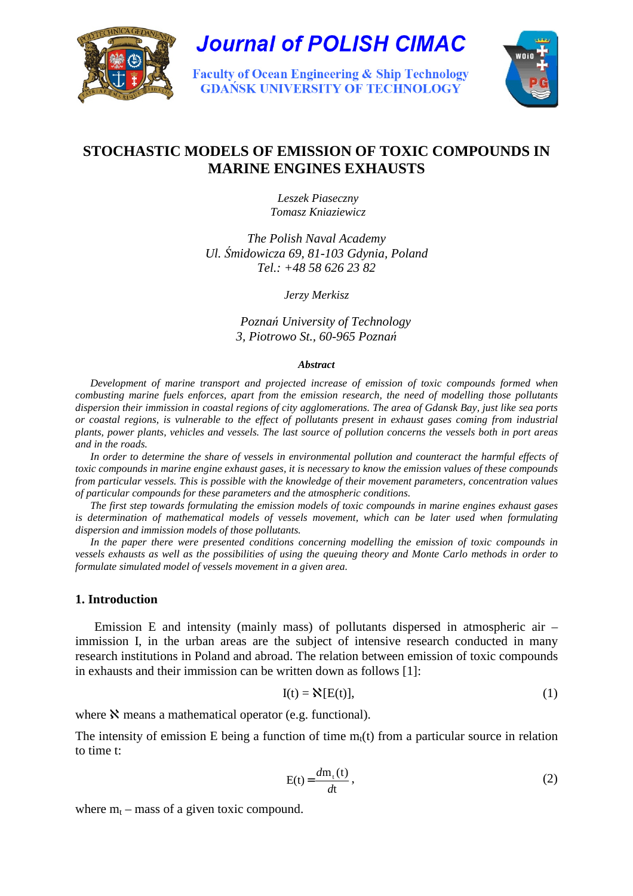

**Journal of POLISH CIMAC** 

**Faculty of Ocean Engineering & Ship Technology GDAŃSK UNIVERSITY OF TECHNOLOGY** 



# **STOCHASTIC MODELS OF EMISSION OF TOXIC COMPOUNDS IN MARINE ENGINES EXHAUSTS**

 *Leszek Piaseczny Tomasz Kniaziewicz*

*The Polish Naval Academy Ul.* Ś*midowicza 69, 81-103 Gdynia, Poland Tel.: +48 58 626 23 82*

*Jerzy Merkisz* 

*Pozna*ń *University of Technology 3, Piotrowo St., 60-965 Pozna*ń

#### *Abstract*

*Development of marine transport and projected increase of emission of toxic compounds formed when combusting marine fuels enforces, apart from the emission research, the need of modelling those pollutants dispersion their immission in coastal regions of city agglomerations. The area of Gdansk Bay, just like sea ports or coastal regions, is vulnerable to the effect of pollutants present in exhaust gases coming from industrial plants, power plants, vehicles and vessels. The last source of pollution concerns the vessels both in port areas and in the roads.* 

*In order to determine the share of vessels in environmental pollution and counteract the harmful effects of toxic compounds in marine engine exhaust gases, it is necessary to know the emission values of these compounds from particular vessels. This is possible with the knowledge of their movement parameters, concentration values of particular compounds for these parameters and the atmospheric conditions.* 

*The first step towards formulating the emission models of toxic compounds in marine engines exhaust gases is determination of mathematical models of vessels movement, which can be later used when formulating dispersion and immission models of those pollutants.* 

*In the paper there were presented conditions concerning modelling the emission of toxic compounds in vessels exhausts as well as the possibilities of using the queuing theory and Monte Carlo methods in order to formulate simulated model of vessels movement in a given area.* 

### **1. Introduction**

Emission E and intensity (mainly mass) of pollutants dispersed in atmospheric air – immission I, in the urban areas are the subject of intensive research conducted in many research institutions in Poland and abroad. The relation between emission of toxic compounds in exhausts and their immission can be written down as follows [1]:

$$
I(t) = \mathbf{N}[E(t)],\tag{1}
$$

where  $\aleph$  means a mathematical operator (e.g. functional).

The intensity of emission E being a function of time  $m<sub>t</sub>(t)$  from a particular source in relation to time t:

$$
E(t) = \frac{dm_t(t)}{dt},
$$
 (2)

where  $m_t$  – mass of a given toxic compound.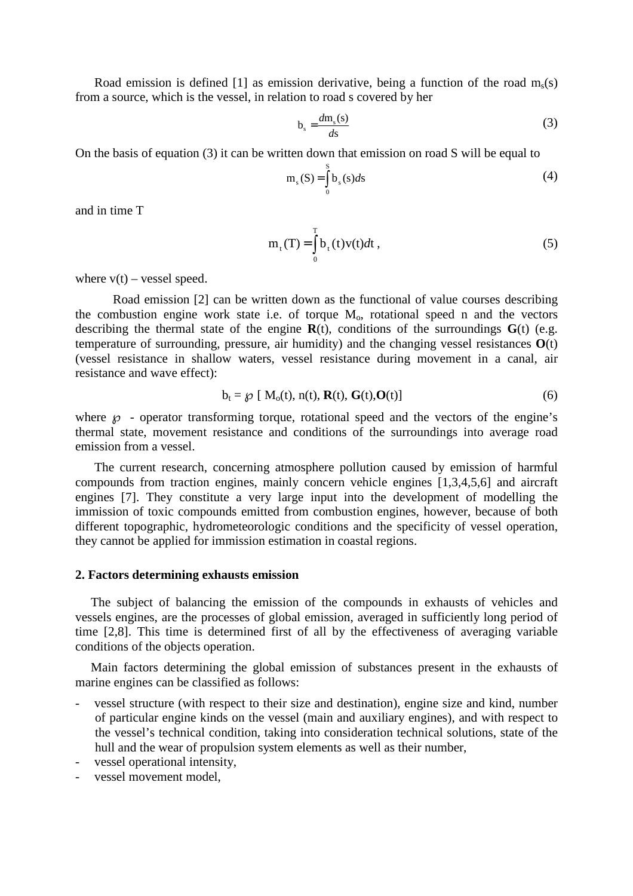Road emission is defined [1] as emission derivative, being a function of the road  $m_s(s)$ from a source, which is the vessel, in relation to road s covered by her

$$
b_s = \frac{dm_s(s)}{ds} \tag{3}
$$

On the basis of equation (3) it can be written down that emission on road S will be equal to

$$
m_s(S) = \int_0^S b_s(s)ds
$$
 (4)

and in time T

$$
m_{t}(T) = \int_{0}^{T} b_{t}(t)v(t)dt,
$$
\n(5)

where  $v(t)$  – vessel speed.

Road emission [2] can be written down as the functional of value courses describing the combustion engine work state i.e. of torque  $M<sub>o</sub>$ , rotational speed n and the vectors describing the thermal state of the engine  $\mathbf{R}(t)$ , conditions of the surroundings  $\mathbf{G}(t)$  (e.g. temperature of surrounding, pressure, air humidity) and the changing vessel resistances **O**(t) (vessel resistance in shallow waters, vessel resistance during movement in a canal, air resistance and wave effect):

$$
b_t = \mathcal{G}[\ M_0(t), n(t), \mathbf{R}(t), \mathbf{G}(t), \mathbf{O}(t)] \tag{6}
$$

where  $\wp$  - operator transforming torque, rotational speed and the vectors of the engine's thermal state, movement resistance and conditions of the surroundings into average road emission from a vessel.

The current research, concerning atmosphere pollution caused by emission of harmful compounds from traction engines, mainly concern vehicle engines [1,3,4,5,6] and aircraft engines [7]. They constitute a very large input into the development of modelling the immission of toxic compounds emitted from combustion engines, however, because of both different topographic, hydrometeorologic conditions and the specificity of vessel operation, they cannot be applied for immission estimation in coastal regions.

### **2. Factors determining exhausts emission**

The subject of balancing the emission of the compounds in exhausts of vehicles and vessels engines, are the processes of global emission, averaged in sufficiently long period of time [2,8]. This time is determined first of all by the effectiveness of averaging variable conditions of the objects operation.

Main factors determining the global emission of substances present in the exhausts of marine engines can be classified as follows:

- vessel structure (with respect to their size and destination), engine size and kind, number of particular engine kinds on the vessel (main and auxiliary engines), and with respect to the vessel's technical condition, taking into consideration technical solutions, state of the hull and the wear of propulsion system elements as well as their number,
- vessel operational intensity,
- vessel movement model,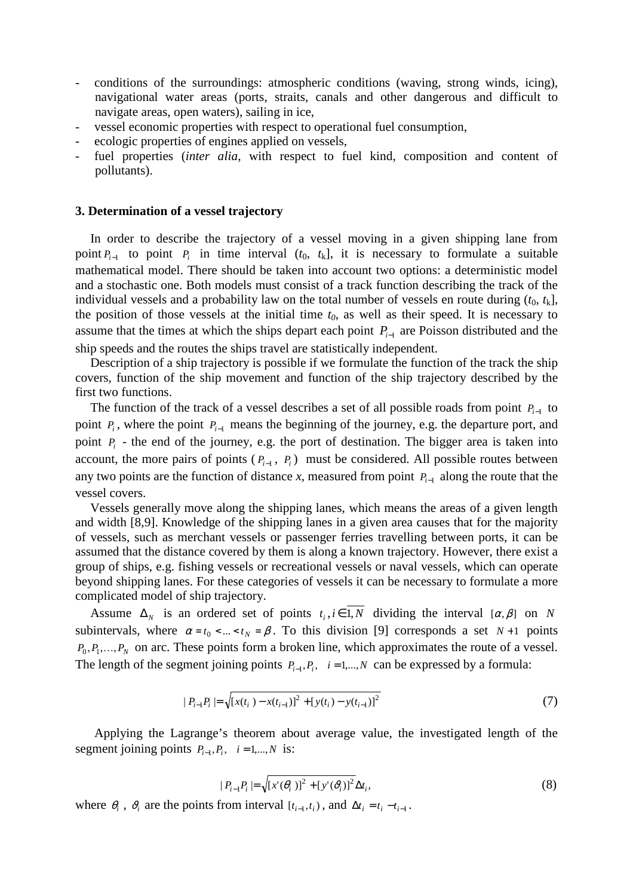- conditions of the surroundings: atmospheric conditions (waving, strong winds, icing), navigational water areas (ports, straits, canals and other dangerous and difficult to navigate areas, open waters), sailing in ice,
- vessel economic properties with respect to operational fuel consumption,
- ecologic properties of engines applied on vessels,
- fuel properties (*inter alia*, with respect to fuel kind, composition and content of pollutants).

### **3. Determination of a vessel trajectory**

In order to describe the trajectory of a vessel moving in a given shipping lane from point  $P_{i-1}$  to point  $P_i$  in time interval  $(t_0, t_k]$ , it is necessary to formulate a suitable mathematical model. There should be taken into account two options: a deterministic model and a stochastic one. Both models must consist of a track function describing the track of the individual vessels and a probability law on the total number of vessels en route during  $(t_0, t_k)$ , the position of those vessels at the initial time *t0*, as well as their speed. It is necessary to assume that the times at which the ships depart each point *P<sup>i</sup>*−<sup>1</sup> are Poisson distributed and the ship speeds and the routes the ships travel are statistically independent.

Description of a ship trajectory is possible if we formulate the function of the track the ship covers, function of the ship movement and function of the ship trajectory described by the first two functions.

The function of the track of a vessel describes a set of all possible roads from point  $P_{i-1}$  to point  $P_i$ , where the point  $P_{i-1}$  means the beginning of the journey, e.g. the departure port, and point  $P_i$  - the end of the journey, e.g. the port of destination. The bigger area is taken into account, the more pairs of points  $(P_{i-1}, P_i)$  must be considered. All possible routes between any two points are the function of distance *x*, measured from point *P<sup>i</sup>*−<sup>1</sup> along the route that the vessel covers.

Vessels generally move along the shipping lanes, which means the areas of a given length and width [8,9]. Knowledge of the shipping lanes in a given area causes that for the majority of vessels, such as merchant vessels or passenger ferries travelling between ports, it can be assumed that the distance covered by them is along a known trajectory. However, there exist a group of ships, e.g. fishing vessels or recreational vessels or naval vessels, which can operate beyond shipping lanes. For these categories of vessels it can be necessary to formulate a more complicated model of ship trajectory.

Assume  $\Delta_N$  is an ordered set of points  $t_i, i \in 1, N$  dividing the interval  $[\alpha, \beta]$  on *N* subintervals, where  $\alpha = t_0 < ... < t_N = \beta$ . To this division [9] corresponds a set  $N+1$  points  $P_0, P_1, \ldots, P_N$  on arc. These points form a broken line, which approximates the route of a vessel. The length of the segment joining points  $P_{i-1}, P_i$ ,  $i = 1,...,N$  can be expressed by a formula:

$$
|P_{i-1}P_i| = \sqrt{[x(t_i) - x(t_{i-1})]^2 + [y(t_i) - y(t_{i-1})]^2}
$$
\n(7)

Applying the Lagrange's theorem about average value, the investigated length of the segment joining points  $P_{i-1}, P_i, \quad i = 1,...,N$  is:

$$
|P_{i-1}P_i| = \sqrt{[x'(\theta_i)]^2 + [y'(\theta_i)]^2} \Delta t_i,
$$
\n(8)

where  $\theta_i$ ,  $\vartheta_i$  are the points from interval  $[t_{i-1}, t_i)$ , and  $\Delta t_i = t_i - t_{i-1}$ .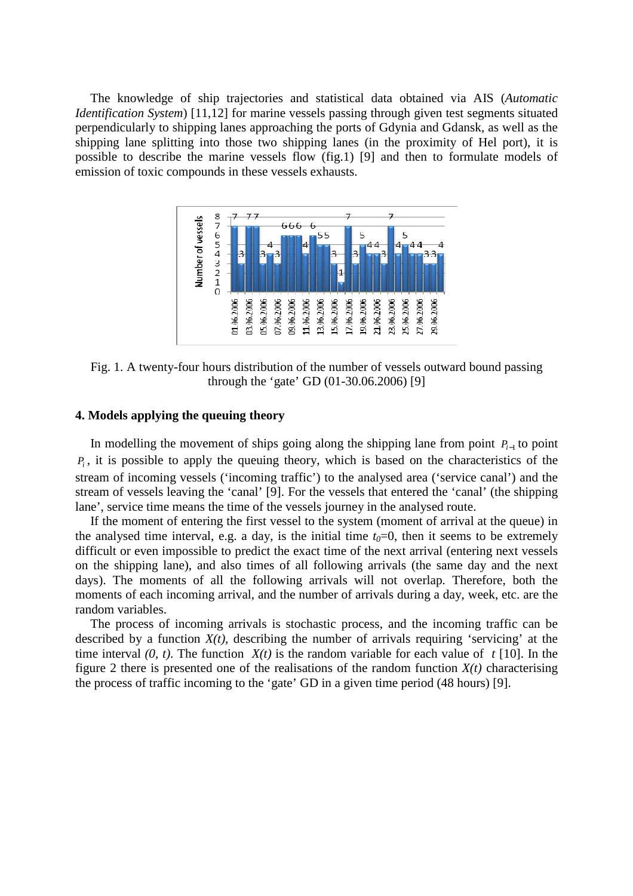The knowledge of ship trajectories and statistical data obtained via AIS (*Automatic Identification System*) [11,12] for marine vessels passing through given test segments situated perpendicularly to shipping lanes approaching the ports of Gdynia and Gdansk, as well as the shipping lane splitting into those two shipping lanes (in the proximity of Hel port), it is possible to describe the marine vessels flow (fig.1) [9] and then to formulate models of emission of toxic compounds in these vessels exhausts.



Fig. 1. A twenty-four hours distribution of the number of vessels outward bound passing through the 'gate' GD (01-30.06.2006) [9]

# **4. Models applying the queuing theory**

In modelling the movement of ships going along the shipping lane from point *P<sup>i</sup>*−<sup>1</sup> to point *Pi* , it is possible to apply the queuing theory, which is based on the characteristics of the stream of incoming vessels ('incoming traffic') to the analysed area ('service canal') and the stream of vessels leaving the 'canal' [9]. For the vessels that entered the 'canal' (the shipping lane', service time means the time of the vessels journey in the analysed route.

If the moment of entering the first vessel to the system (moment of arrival at the queue) in the analysed time interval, e.g. a day, is the initial time  $t<sub>0</sub>=0$ , then it seems to be extremely difficult or even impossible to predict the exact time of the next arrival (entering next vessels on the shipping lane), and also times of all following arrivals (the same day and the next days). The moments of all the following arrivals will not overlap. Therefore, both the moments of each incoming arrival, and the number of arrivals during a day, week, etc. are the random variables.

The process of incoming arrivals is stochastic process, and the incoming traffic can be described by a function  $X(t)$ , describing the number of arrivals requiring 'servicing' at the time interval  $(0, t)$ . The function  $X(t)$  is the random variable for each value of  $t \in [10]$ . In the figure 2 there is presented one of the realisations of the random function  $X(t)$  characterising the process of traffic incoming to the 'gate' GD in a given time period (48 hours) [9].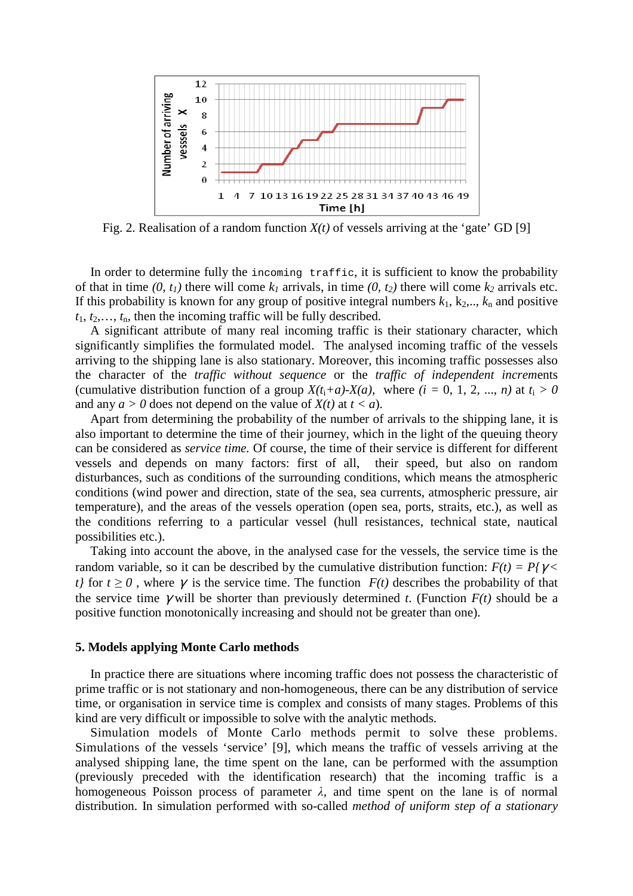

Fig. 2. Realisation of a random function  $X(t)$  of vessels arriving at the 'gate' GD [9]

In order to determine fully the incoming traffic, it is sufficient to know the probability of that in time  $(0, t_1)$  there will come  $k_1$  arrivals, in time  $(0, t_2)$  there will come  $k_2$  arrivals etc. If this probability is known for any group of positive integral numbers  $k_1$ ,  $k_2$ ,..,  $k_n$  and positive  $t_1, t_2, \ldots, t_n$ , then the incoming traffic will be fully described.

A significant attribute of many real incoming traffic is their stationary character, which significantly simplifies the formulated model. The analysed incoming traffic of the vessels arriving to the shipping lane is also stationary. Moreover, this incoming traffic possesses also the character of the *traffic without sequence* or the *traffic of independent increm*ents (cumulative distribution function of a group  $X(t_i+a)-X(a)$ , where  $(i = 0, 1, 2, ..., n)$  at  $t_i > 0$ and any  $a > 0$  does not depend on the value of  $X(t)$  at  $t < a$ ).

Apart from determining the probability of the number of arrivals to the shipping lane, it is also important to determine the time of their journey, which in the light of the queuing theory can be considered as *service time.* Of course, the time of their service is different for different vessels and depends on many factors: first of all, their speed, but also on random disturbances, such as conditions of the surrounding conditions, which means the atmospheric conditions (wind power and direction, state of the sea, sea currents, atmospheric pressure, air temperature), and the areas of the vessels operation (open sea, ports, straits, etc.), as well as the conditions referring to a particular vessel (hull resistances, technical state, nautical possibilities etc.).

Taking into account the above, in the analysed case for the vessels, the service time is the random variable, so it can be described by the cumulative distribution function:  $F(t) = P\gamma \ll 1$ *t}* for  $t \ge 0$ , where  $\gamma$  is the service time. The function  $F(t)$  describes the probability of that the service time  $\gamma$  will be shorter than previously determined *t*. (Function  $F(t)$  should be a positive function monotonically increasing and should not be greater than one).

### **5. Models applying Monte Carlo methods**

In practice there are situations where incoming traffic does not possess the characteristic of prime traffic or is not stationary and non-homogeneous, there can be any distribution of service time, or organisation in service time is complex and consists of many stages. Problems of this kind are very difficult or impossible to solve with the analytic methods.

Simulation models of Monte Carlo methods permit to solve these problems. Simulations of the vessels 'service' [9], which means the traffic of vessels arriving at the analysed shipping lane, the time spent on the lane, can be performed with the assumption (previously preceded with the identification research) that the incoming traffic is a homogeneous Poisson process of parameter  $\lambda$ , and time spent on the lane is of normal distribution. In simulation performed with so-called *method of uniform step of a stationary*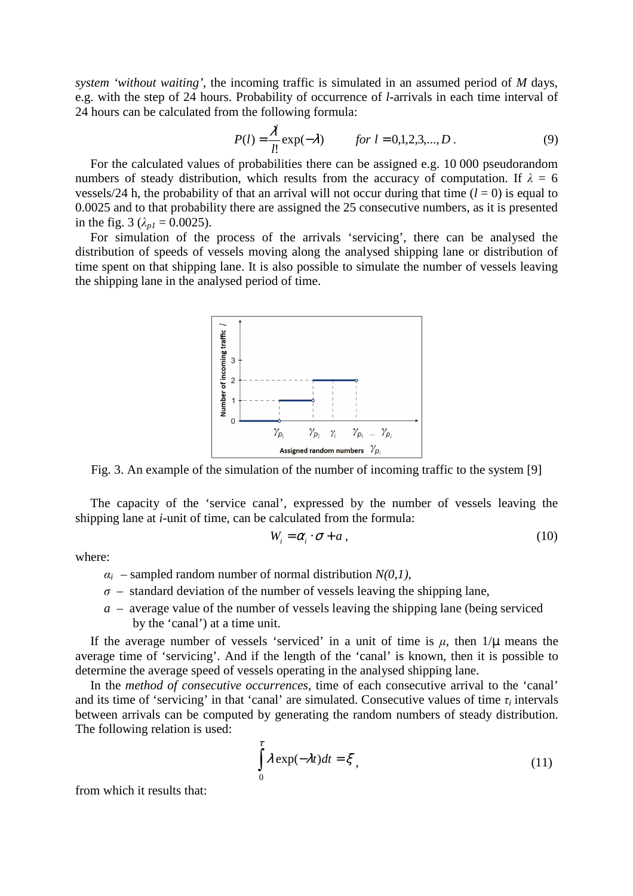*system 'without waiting'*, the incoming traffic is simulated in an assumed period of *M* days, e.g. with the step of 24 hours. Probability of occurrence of *l*-arrivals in each time interval of 24 hours can be calculated from the following formula:

$$
P(l) = \frac{\lambda^l}{l!} \exp(-\lambda) \qquad \text{for } l = 0, 1, 2, 3, \dots, D. \tag{9}
$$

For the calculated values of probabilities there can be assigned e.g. 10 000 pseudorandom numbers of steady distribution, which results from the accuracy of computation. If  $\lambda = 6$ vessels/24 h, the probability of that an arrival will not occur during that time  $(l = 0)$  is equal to 0.0025 and to that probability there are assigned the 25 consecutive numbers, as it is presented in the fig. 3 ( $\lambda_{p1} = 0.0025$ ).

For simulation of the process of the arrivals 'servicing', there can be analysed the distribution of speeds of vessels moving along the analysed shipping lane or distribution of time spent on that shipping lane. It is also possible to simulate the number of vessels leaving the shipping lane in the analysed period of time.



Fig. 3. An example of the simulation of the number of incoming traffic to the system [9]

The capacity of the 'service canal', expressed by the number of vessels leaving the shipping lane at *i*-unit of time, can be calculated from the formula:

$$
W_i = \alpha_i \cdot \sigma + a \,, \tag{10}
$$

where:

- $\alpha_i$  sampled random number of normal distribution  $N(0,1)$ ,
- $\sigma$  standard deviation of the number of vessels leaving the shipping lane,
- *a* average value of the number of vessels leaving the shipping lane (being serviced by the 'canal') at a time unit.

If the average number of vessels 'serviced' in a unit of time is  $\mu$ , then  $1/\mu$  means the average time of 'servicing'. And if the length of the 'canal' is known, then it is possible to determine the average speed of vessels operating in the analysed shipping lane.

In the *method of consecutive occurrences*, time of each consecutive arrival to the 'canal' and its time of 'servicing' in that 'canal' are simulated. Consecutive values of time  $\tau_i$  intervals between arrivals can be computed by generating the random numbers of steady distribution. The following relation is used:

$$
\int_{0}^{\tau} \lambda \exp(-\lambda t)dt = \xi,
$$
\n(11)

from which it results that: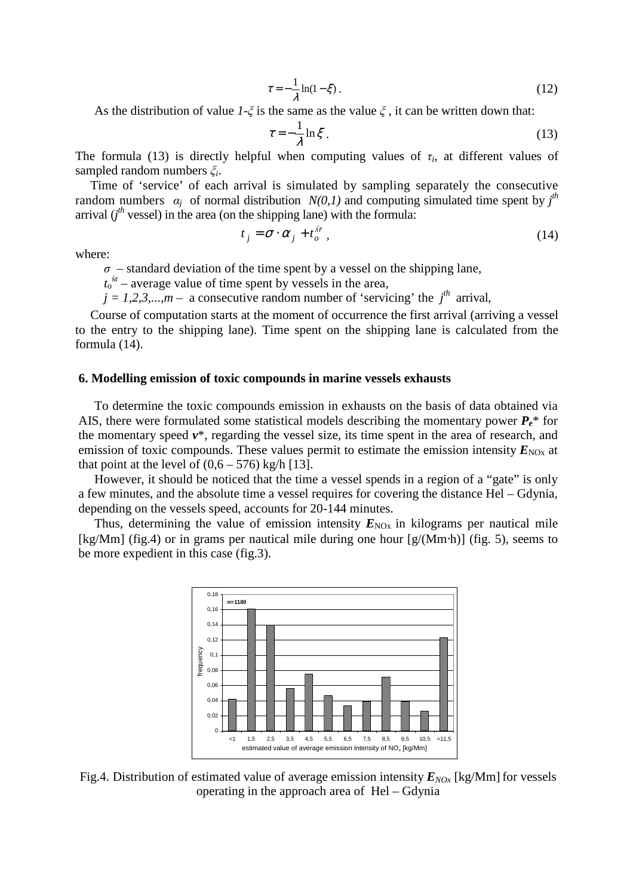$$
\tau = -\frac{1}{\lambda} \ln(1 - \xi) \,. \tag{12}
$$

As the distribution of value  $1-\xi$  is the same as the value  $\xi$ , it can be written down that:

$$
\tau = -\frac{1}{\lambda} \ln \xi \tag{13}
$$

The formula (13) is directly helpful when computing values of  $\tau_i$ , at different values of sampled random numbers ξ*<sup>i</sup>* .

Time of 'service' of each arrival is simulated by sampling separately the consecutive random numbers  $\alpha_j$  of normal distribution  $N(0,1)$  and computing simulated time spent by  $j^{th}$ arrival  $(j<sup>th</sup>$  vessel) in the area (on the shipping lane) with the formula:

$$
t_j = \sigma \cdot \alpha_j + t_o^{sr}, \qquad (14)
$$

where:

 $\sigma$  – standard deviation of the time spent by a vessel on the shipping lane,

 $t_0$ <sup>sr</sup> – average value of time spent by vessels in the area,

 $j = 1, 2, 3, \ldots, m$  – a consecutive random number of 'servicing' the  $j<sup>th</sup>$  arrival,

Course of computation starts at the moment of occurrence the first arrival (arriving a vessel to the entry to the shipping lane). Time spent on the shipping lane is calculated from the formula (14).

### **6. Modelling emission of toxic compounds in marine vessels exhausts**

To determine the toxic compounds emission in exhausts on the basis of data obtained via AIS, there were formulated some statistical models describing the momentary power  $P_e^*$  for the momentary speed *v*\*, regarding the vessel size, its time spent in the area of research, and emission of toxic compounds. These values permit to estimate the emission intensity  $E_{NOX}$  at that point at the level of  $(0.6 - 576)$  kg/h [13].

However, it should be noticed that the time a vessel spends in a region of a "gate" is only a few minutes, and the absolute time a vessel requires for covering the distance Hel – Gdynia, depending on the vessels speed, accounts for 20-144 minutes.

Thus, determining the value of emission intensity  $E_{NOX}$  in kilograms per nautical mile [kg/Mm] (fig.4) or in grams per nautical mile during one hour [g/(Mm⋅h)] (fig. 5), seems to be more expedient in this case (fig.3).



Fig.4. Distribution of estimated value of average emission intensity  $E_{NQx}$  [kg/Mm] for vessels operating in the approach area of Hel – Gdynia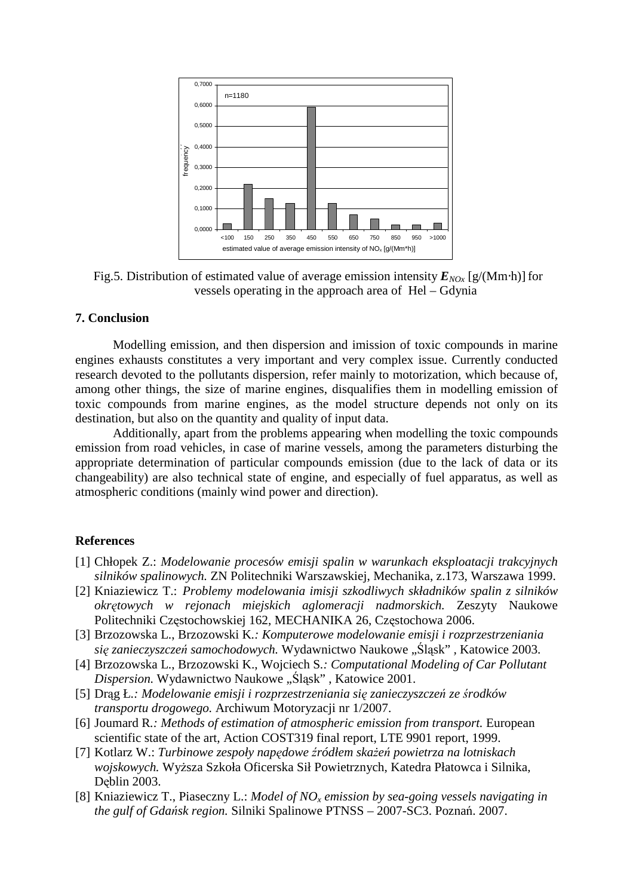

Fig.5. Distribution of estimated value of average emission intensity  $E_{NQx}$  [g/(Mm⋅h)] for vessels operating in the approach area of Hel – Gdynia

# **7. Conclusion**

Modelling emission, and then dispersion and imission of toxic compounds in marine engines exhausts constitutes a very important and very complex issue. Currently conducted research devoted to the pollutants dispersion, refer mainly to motorization, which because of, among other things, the size of marine engines, disqualifies them in modelling emission of toxic compounds from marine engines, as the model structure depends not only on its destination, but also on the quantity and quality of input data.

Additionally, apart from the problems appearing when modelling the toxic compounds emission from road vehicles, in case of marine vessels, among the parameters disturbing the appropriate determination of particular compounds emission (due to the lack of data or its changeability) are also technical state of engine, and especially of fuel apparatus, as well as atmospheric conditions (mainly wind power and direction).

# **References**

- [1] Chłopek Z.: *Modelowanie procesów emisji spalin w warunkach eksploatacji trakcyjnych silników spalinowych.* ZN Politechniki Warszawskiej, Mechanika, z.173, Warszawa 1999.
- [2] Kniaziewicz T.: *Problemy modelowania imisji szkodliwych składników spalin z silników okr*ę*towych w rejonach miejskich aglomeracji nadmorskich.* Zeszyty Naukowe Politechniki Częstochowskiej 162, MECHANIKA 26, Częstochowa 2006.
- [3] Brzozowska L., Brzozowski K*.: Komputerowe modelowanie emisji i rozprzestrzeniania si*ę *zanieczyszcze*ń *samochodowych.* Wydawnictwo Naukowe "Śląsk" *,* Katowice 2003.
- [4] Brzozowska L., Brzozowski K., Wojciech S*.: Computational Modeling of Car Pollutant Dispersion.* Wydawnictwo Naukowe "Śląsk", Katowice 2001.
- [5] Drąg Ł*.: Modelowanie emisji i rozprzestrzeniania si*ę *zanieczyszcze*ń *ze* ś*rodków transportu drogowego.* Archiwum Motoryzacji nr 1/2007.
- [6] Joumard R*.: Methods of estimation of atmospheric emission from transport.* European scientific state of the art, Action COST319 final report, LTE 9901 report, 1999.
- [7] Kotlarz W.: *Turbinowe zespoły napędowe źródłem skażeń powietrza na lotniskach wojskowych.* WyŜsza Szkoła Oficerska Sił Powietrznych, Katedra Płatowca i Silnika*,* Dęblin 2003.
- [8] Kniaziewicz T., Piaseczny L.: *Model of NOx emission by sea-going vessels navigating in the gulf of Gda*ń*sk region.* Silniki Spalinowe PTNSS – 2007-SC3. Poznań. 2007.